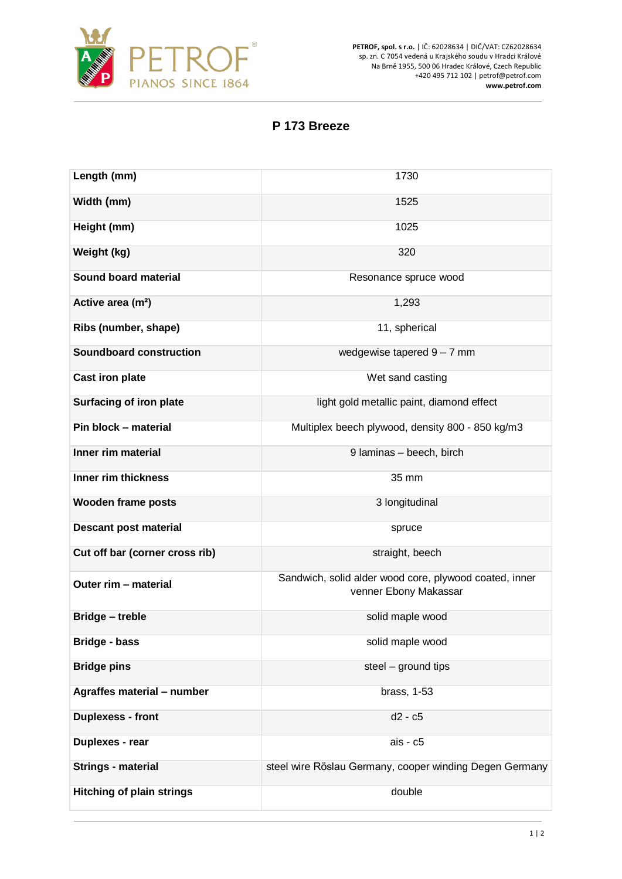

**PETROF, spol. s r.o.** | IČ: 62028634 | DIČ/VAT: CZ62028634 sp. zn. C 7054 vedená u Krajského soudu v Hradci Králové Na Brně 1955, 500 06 Hradec Králové, Czech Republic +420 495 712 102 | petrof@petrof.com **www.petrof.com**

## **P 173 Breeze**

| Length (mm)                      | 1730                                                                            |
|----------------------------------|---------------------------------------------------------------------------------|
| Width (mm)                       | 1525                                                                            |
| Height (mm)                      | 1025                                                                            |
| Weight (kg)                      | 320                                                                             |
| <b>Sound board material</b>      | Resonance spruce wood                                                           |
| Active area (m <sup>2</sup> )    | 1,293                                                                           |
| Ribs (number, shape)             | 11, spherical                                                                   |
| <b>Soundboard construction</b>   | wedgewise tapered $9 - 7$ mm                                                    |
| <b>Cast iron plate</b>           | Wet sand casting                                                                |
| Surfacing of iron plate          | light gold metallic paint, diamond effect                                       |
| Pin block - material             | Multiplex beech plywood, density 800 - 850 kg/m3                                |
| Inner rim material               | 9 Iaminas - beech, birch                                                        |
| Inner rim thickness              | 35 mm                                                                           |
| <b>Wooden frame posts</b>        | 3 longitudinal                                                                  |
| <b>Descant post material</b>     | spruce                                                                          |
| Cut off bar (corner cross rib)   | straight, beech                                                                 |
| Outer rim - material             | Sandwich, solid alder wood core, plywood coated, inner<br>venner Ebony Makassar |
| <b>Bridge - treble</b>           | solid maple wood                                                                |
| Bridge - bass                    | solid maple wood                                                                |
| <b>Bridge pins</b>               | steel - ground tips                                                             |
| Agraffes material - number       | brass, 1-53                                                                     |
| <b>Duplexess - front</b>         | d2 - c5                                                                         |
| Duplexes - rear                  | ais - c5                                                                        |
| <b>Strings - material</b>        | steel wire Röslau Germany, cooper winding Degen Germany                         |
| <b>Hitching of plain strings</b> | double                                                                          |